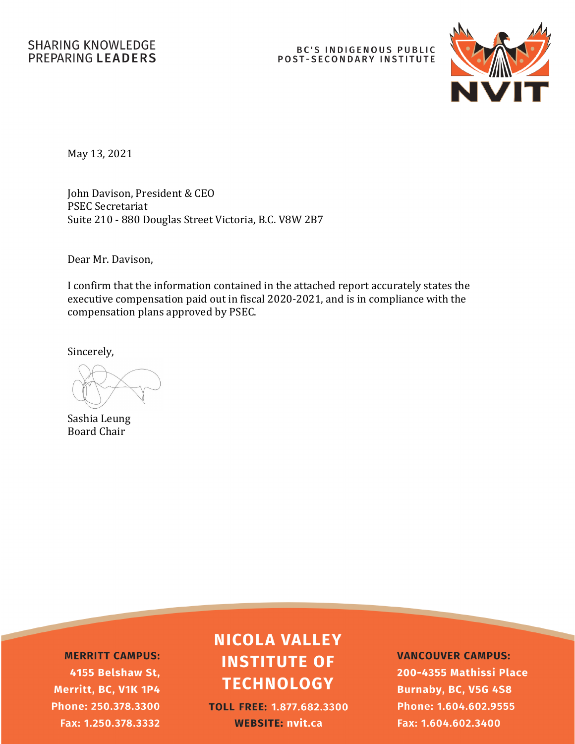# BC'S INDIGENOUS PUBLIC<br>POST-SECONDARY INSTITUTE



May 13, 2021

John Davison, President & CEO PSEC Secretariat Suite 210 - 880 Douglas Street Victoria, B.C. V8W 2B7

Dear Mr. Davison,

I confirm that the information contained in the attached report accurately states the executive compensation paid out in fiscal 2020-2021, and is in compliance with the compensation plans approved by PSEC.

Sincerely,

Sashia Leung Board Chair

**MERRITT CAMPUS:** 4155 Belshaw St, Merritt, BC, V1K 1P4 Phone: 250.378.3300 Fax: 1.250.378.3332

# **NICOLA VALLEY INSTITUTE OF TECHNOLOGY**

**TOLL FREE: 1.877.682.3300 WEBSITE: nvit.ca** 

**VANCOUVER CAMPUS:** 200-4355 Mathissi Place **Burnaby, BC, V5G 4S8** Phone: 1.604.602.9555 Fax: 1.604.602.3400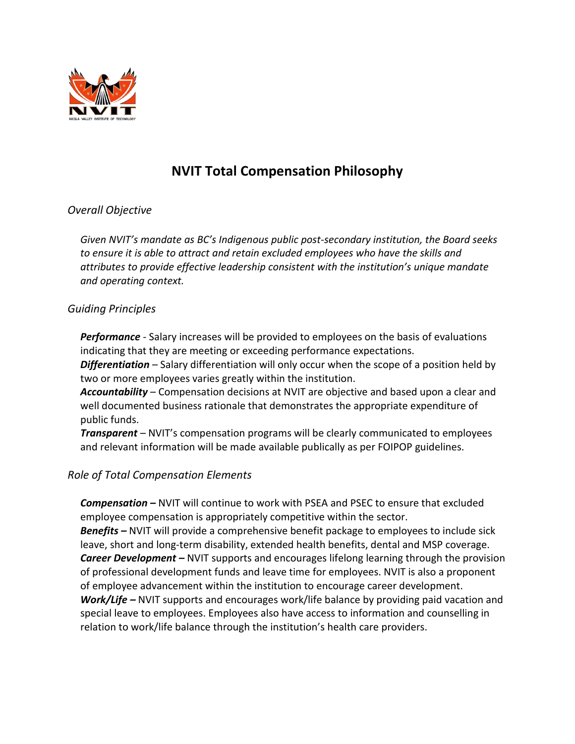

## **NVIT Total Compensation Philosophy**

### *Overall Objective*

*Given NVIT's mandate as BC's Indigenous public post-secondary institution, the Board seeks*  to ensure it is able to attract and retain excluded employees who have the skills and *attributes to provide effective leadership consistent with the institution's unique mandate and operating context.*

#### *Guiding Principles*

*Performance -* Salary increases will be provided to employees on the basis of evaluations indicating that they are meeting or exceeding performance expectations.

*Differentiation –* Salary differentiation will only occur when the scope of a position held by two or more employees varies greatly within the institution.

*Accountability –* Compensation decisions at NVIT are objective and based upon a clear and well documented business rationale that demonstrates the appropriate expenditure of public funds.

*Transparent –* NVIT's compensation programs will be clearly communicated to employees and relevant information will be made available publically as per FOIPOP guidelines.

### *Role of Total Compensation Elements*

*Compensation –* NVIT will continue to work with PSEA and PSEC to ensure that excluded employee compensation is appropriately competitive within the sector. *Benefits –* NVIT will provide a comprehensive benefit package to employees to include sick leave, short and long-term disability, extended health benefits, dental and MSP coverage. *Career Development –* NVIT supports and encourages lifelong learning through the provision of professional development funds and leave time for employees. NVIT is also a proponent of employee advancement within the institution to encourage career development. *Work/Life –* NVIT supports and encourages work/life balance by providing paid vacation and

special leave to employees. Employees also have access to information and counselling in relation to work/life balance through the institution's health care providers.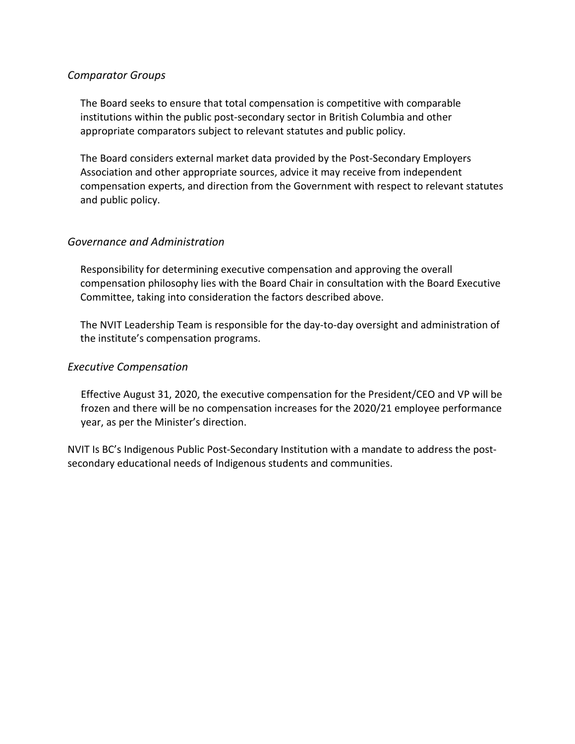#### *Comparator Groups*

The Board seeks to ensure that total compensation is competitive with comparable institutions within the public post-secondary sector in British Columbia and other appropriate comparators subject to relevant statutes and public policy.

The Board considers external market data provided by the Post-Secondary Employers Association and other appropriate sources, advice it may receive from independent compensation experts, and direction from the Government with respect to relevant statutes and public policy.

#### *Governance and Administration*

Responsibility for determining executive compensation and approving the overall compensation philosophy lies with the Board Chair in consultation with the Board Executive Committee, taking into consideration the factors described above.

The NVIT Leadership Team is responsible for the day-to-day oversight and administration of the institute's compensation programs.

#### *Executive Compensation*

Effective August 31, 2020, the executive compensation for the President/CEO and VP will be frozen and there will be no compensation increases for the 2020/21 employee performance year, as per the Minister's direction.

NVIT Is BC's Indigenous Public Post-Secondary Institution with a mandate to address the postsecondary educational needs of Indigenous students and communities.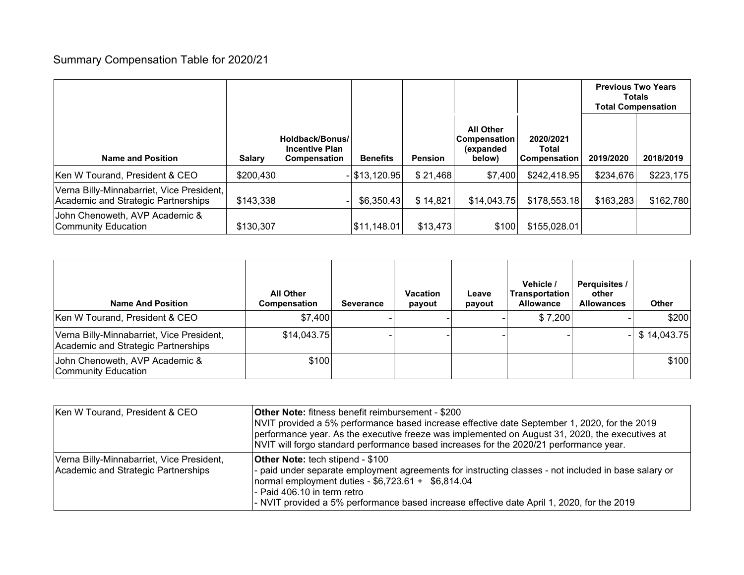## Summary Compensation Table for 2020/21

|                                                                                  |               |                                                          |                 |                |                                                                 |                                    | <b>Previous Two Years</b><br><b>Totals</b><br><b>Total Compensation</b> |           |
|----------------------------------------------------------------------------------|---------------|----------------------------------------------------------|-----------------|----------------|-----------------------------------------------------------------|------------------------------------|-------------------------------------------------------------------------|-----------|
| <b>Name and Position</b>                                                         | <b>Salary</b> | Holdback/Bonus/<br><b>Incentive Plan</b><br>Compensation | <b>Benefits</b> | <b>Pension</b> | <b>All Other</b><br>Compensation<br><i>(expanded)</i><br>below) | 2020/2021<br>Total<br>Compensation | 2019/2020                                                               | 2018/2019 |
| Ken W Tourand, President & CEO                                                   | \$200,430     |                                                          | $-$ \$13,120.95 | \$21,468       | \$7,400                                                         | \$242,418.95                       | \$234,676                                                               | \$223,175 |
| Verna Billy-Minnabarriet, Vice President,<br>Academic and Strategic Partnerships | \$143,338     |                                                          | \$6,350.43      | \$14,821       | \$14,043.75                                                     | \$178,553.18                       | \$163,283                                                               | \$162,780 |
| John Chenoweth, AVP Academic &<br><b>Community Education</b>                     | \$130,307     |                                                          | \$11,148.01     | \$13,473       | \$100                                                           | \$155,028.01                       |                                                                         |           |

| <b>Name And Position</b>                                                         | <b>All Other</b><br><b>Compensation</b> | <b>Severance</b> | <b>Vacation</b><br>payout | Leave<br>payout | Vehicle /<br><b>Transportation</b><br><b>Allowance</b> | <b>Perquisites /</b><br>other<br><b>Allowances</b> | <b>Other</b> |
|----------------------------------------------------------------------------------|-----------------------------------------|------------------|---------------------------|-----------------|--------------------------------------------------------|----------------------------------------------------|--------------|
| Ken W Tourand, President & CEO                                                   | \$7,400                                 |                  |                           |                 | \$7,200                                                |                                                    | \$200        |
| Verna Billy-Minnabarriet, Vice President,<br>Academic and Strategic Partnerships | \$14,043.75                             |                  |                           |                 |                                                        |                                                    | \$14,043.75  |
| John Chenoweth, AVP Academic &<br><b>Community Education</b>                     | \$100                                   |                  |                           |                 |                                                        |                                                    | \$100        |

| Ken W Tourand, President & CEO                                                   | <b>Other Note:</b> fitness benefit reimbursement - \$200<br>NVIT provided a 5% performance based increase effective date September 1, 2020, for the 2019<br>performance year. As the executive freeze was implemented on August 31, 2020, the executives at<br>NVIT will forgo standard performance based increases for the 2020/21 performance year. |
|----------------------------------------------------------------------------------|-------------------------------------------------------------------------------------------------------------------------------------------------------------------------------------------------------------------------------------------------------------------------------------------------------------------------------------------------------|
| Verna Billy-Minnabarriet, Vice President,<br>Academic and Strategic Partnerships | <b>Other Note:</b> tech stipend - \$100<br>- paid under separate employment agreements for instructing classes - not included in base salary or<br> normal employment duties - $$6,723.61 + $6,814.04$<br>- Paid 406.10 in term retro<br>- NVIT provided a 5% performance based increase effective date April 1, 2020, for the 2019                   |